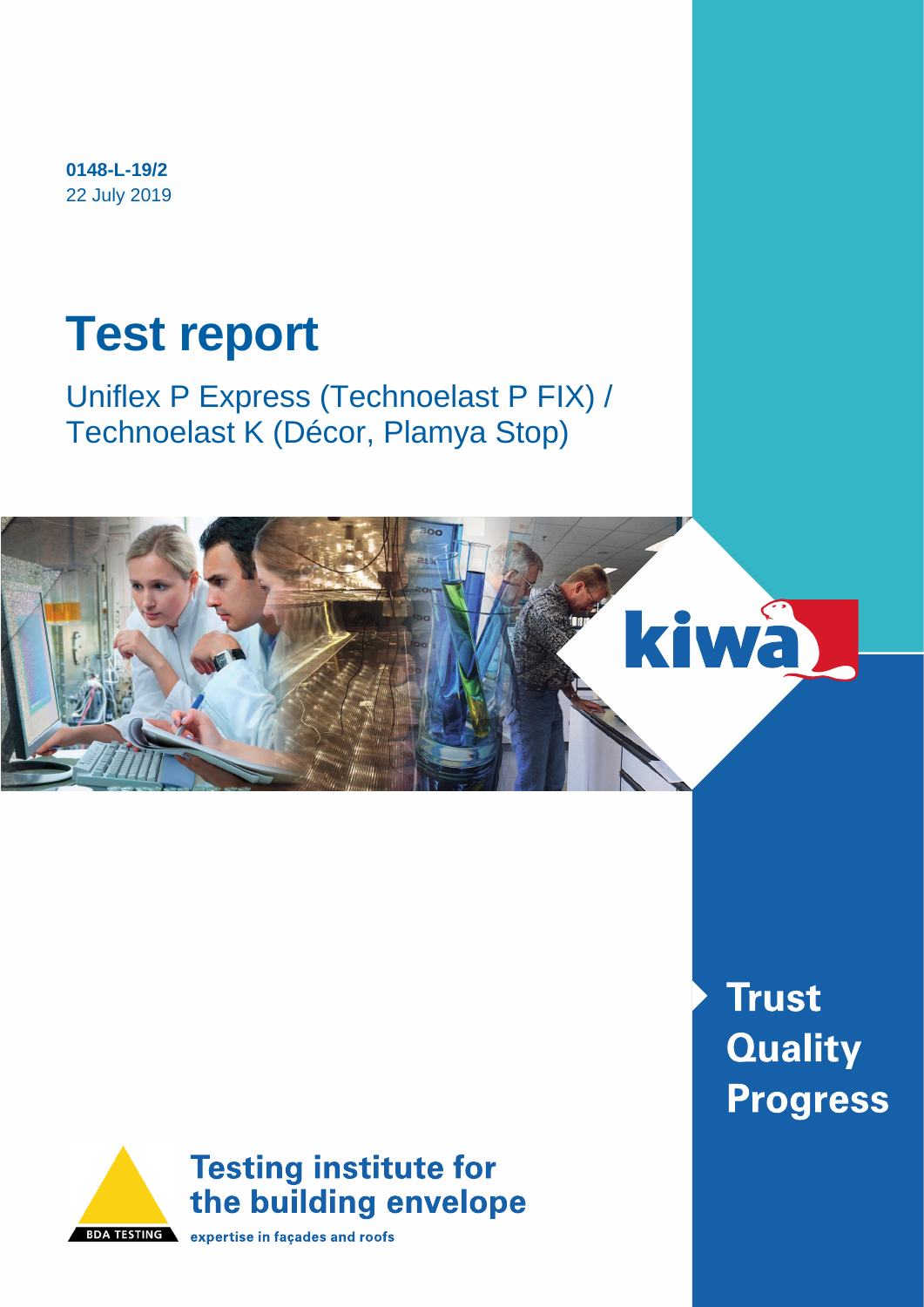**0148-L-19/2** 22 July 2019

# **Test report**

Uniflex P Express (Technoelast P FIX) / Technoelast K (Décor, Plamya Stop)





**BDA TESTING** expertise in façades and roofs

**Trust Quality Progress**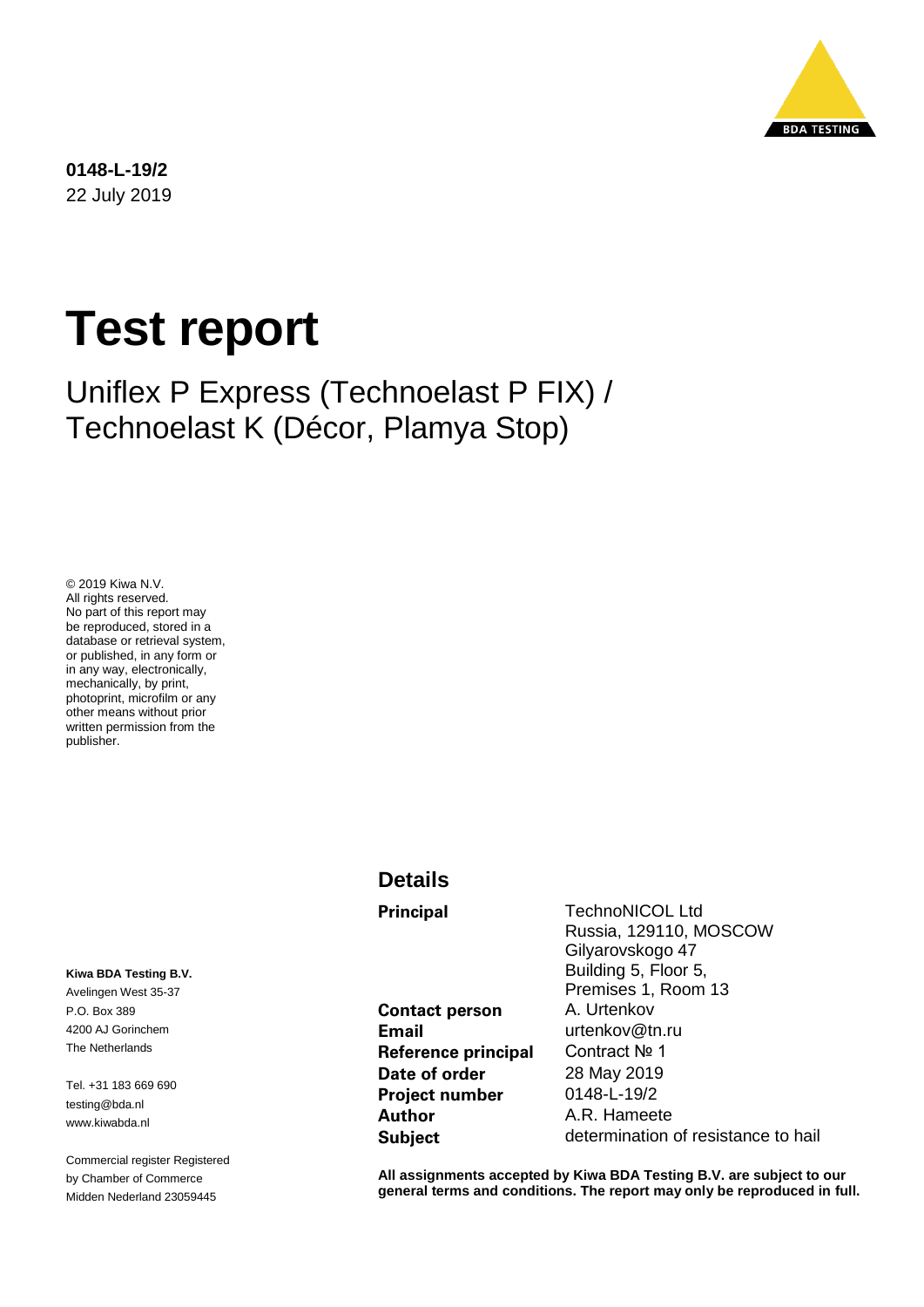

**0148-L-19/2** 22 July 2019

# **Test report**

Uniflex P Express (Technoelast P FIX) / Technoelast K (Décor, Plamya Stop)

© 2019 Kiwa N.V. All rights reserved. No part of this report may be reproduced, stored in a database or retrieval system, or published, in any form or in any way, electronically, mechanically, by print, photoprint, microfilm or any other means without prior written permission from the publisher.

**Kiwa BDA Testing B.V.** Avelingen West 35-37 P.O. Box 389 4200 AJ Gorinchem The Netherlands

Tel. +31 183 669 690 testing@bda.nl www.kiwabda.nl

Commercial register Registered by Chamber of Commerce Midden Nederland 23059445

#### **Details**

**Contact person** A. Urtenkov **Email** urtenkov@tn.ru **Reference principal** Contract № 1 **Date of order** 28 May 2019 **Project number** 0148-L-19/2 **Author** A.R. Hameete

**Principal** TechnoNICOL Ltd Russia, 129110, MOSCOW Gilyarovskogo 47 Building 5, Floor 5, Premises 1, Room 13 **Subject** determination of resistance to hail

**All assignments accepted by Kiwa BDA Testing B.V. are subject to our general terms and conditions. The report may only be reproduced in full.**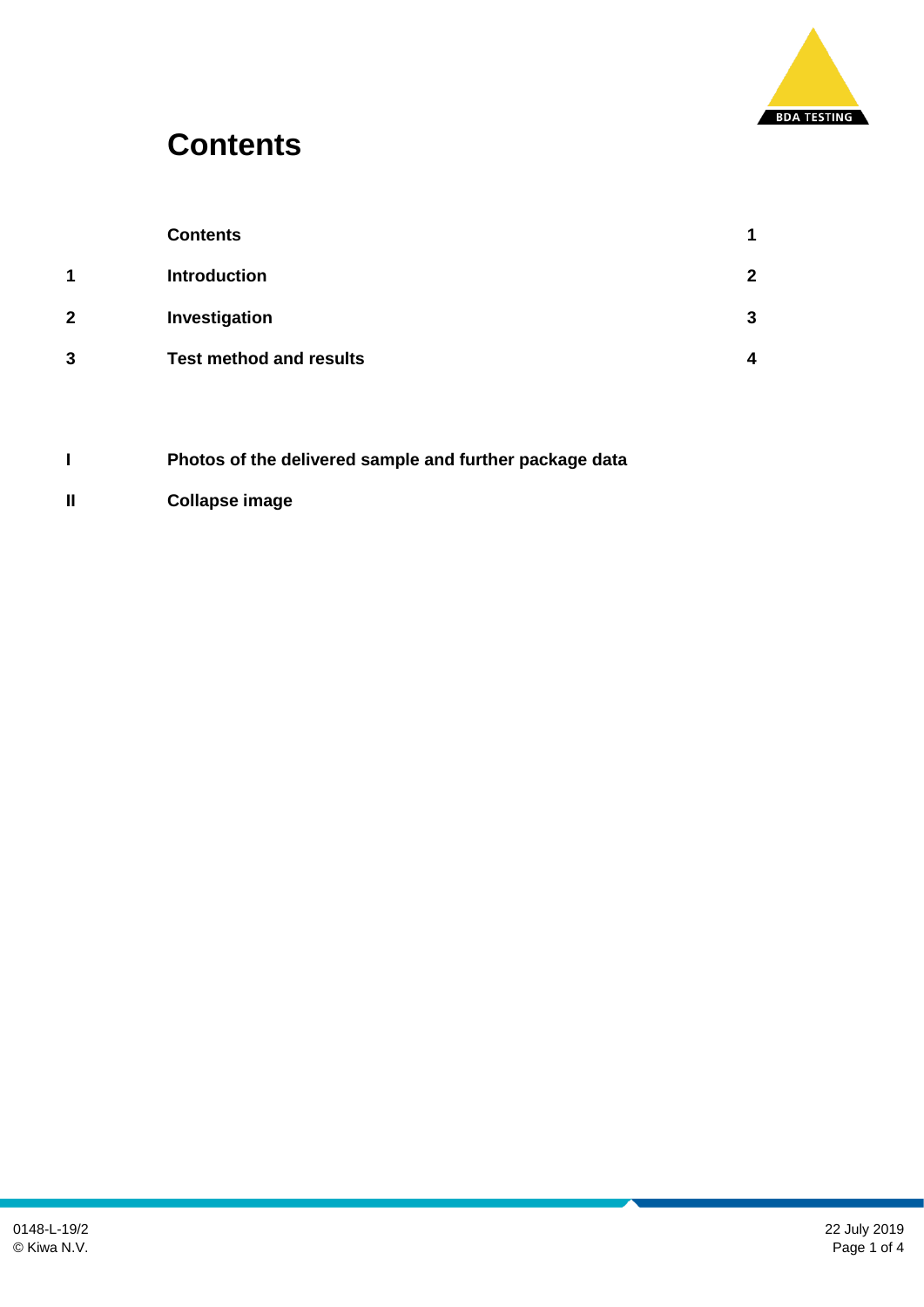

### **Contents**

|   | <b>Contents</b>                |   |
|---|--------------------------------|---|
| 1 | <b>Introduction</b>            | າ |
| 2 | Investigation                  | 3 |
| 3 | <b>Test method and results</b> | Δ |
|   |                                |   |

- **I Photos of the delivered sample and further package data**
- **II Collapse image**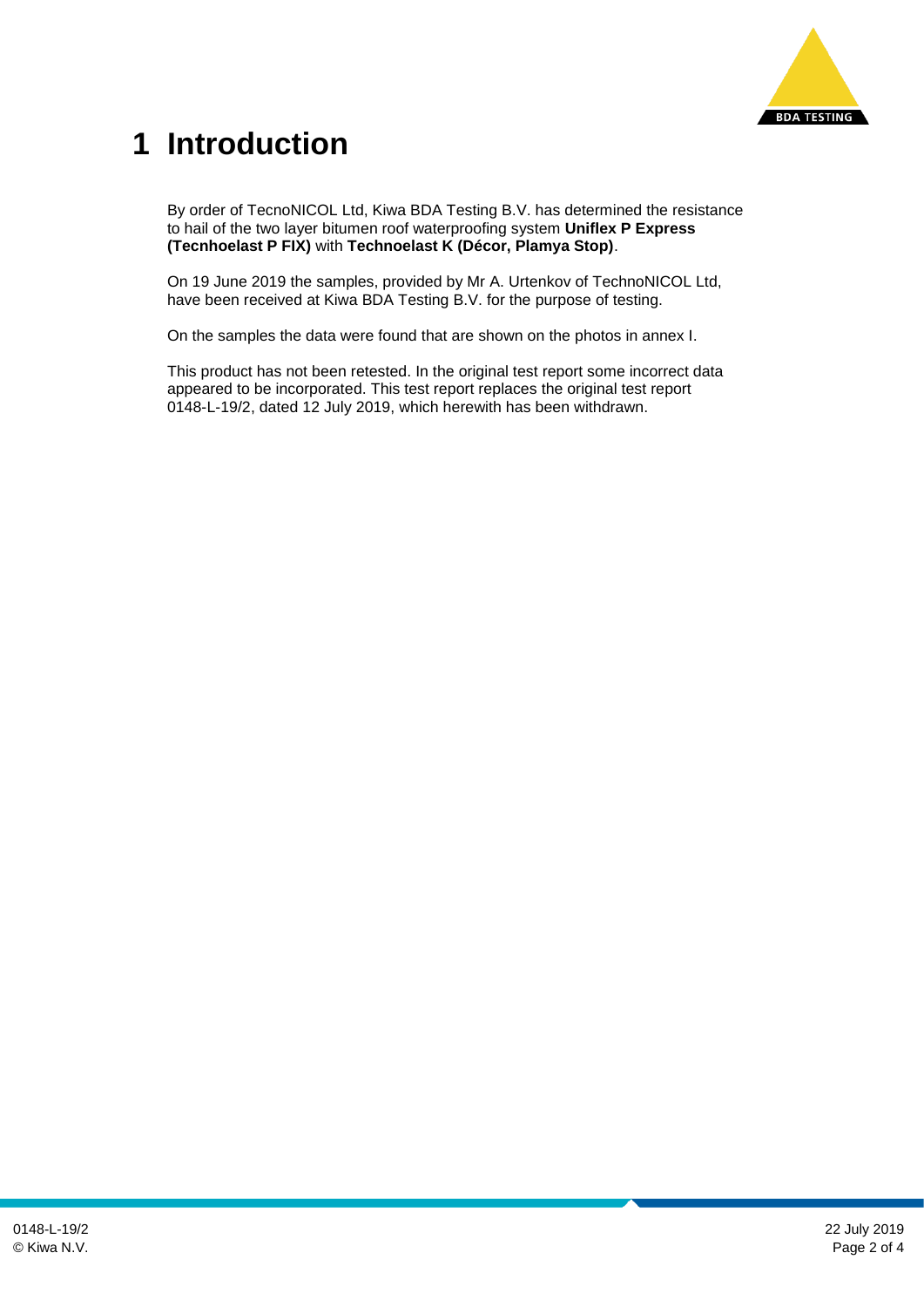

## **1 Introduction**

By order of TecnoNICOL Ltd, Kiwa BDA Testing B.V. has determined the resistance to hail of the two layer bitumen roof waterproofing system **Uniflex P Express (Tecnhoelast P FIX)** with **Technoelast K (Décor, Plamya Stop)**.

On 19 June 2019 the samples, provided by Mr A. Urtenkov of TechnoNICOL Ltd, have been received at Kiwa BDA Testing B.V. for the purpose of testing.

On the samples the data were found that are shown on the photos in annex I.

This product has not been retested. In the original test report some incorrect data appeared to be incorporated. This test report replaces the original test report 0148-L-19/2, dated 12 July 2019, which herewith has been withdrawn.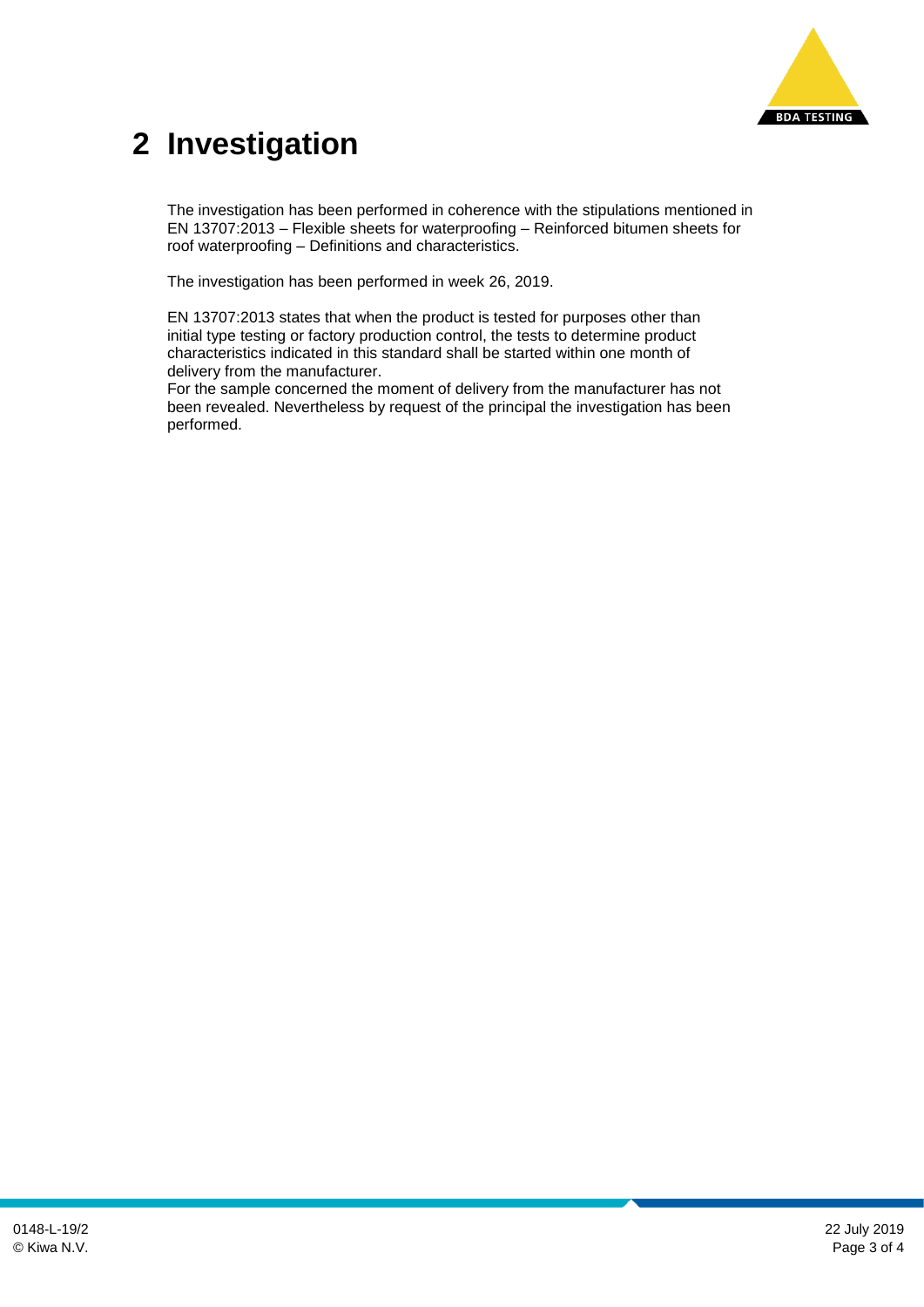

## **2 Investigation**

The investigation has been performed in coherence with the stipulations mentioned in EN 13707:2013 – Flexible sheets for waterproofing – Reinforced bitumen sheets for roof waterproofing – Definitions and characteristics.

The investigation has been performed in week 26, 2019.

EN 13707:2013 states that when the product is tested for purposes other than initial type testing or factory production control, the tests to determine product characteristics indicated in this standard shall be started within one month of delivery from the manufacturer.

For the sample concerned the moment of delivery from the manufacturer has not been revealed. Nevertheless by request of the principal the investigation has been performed.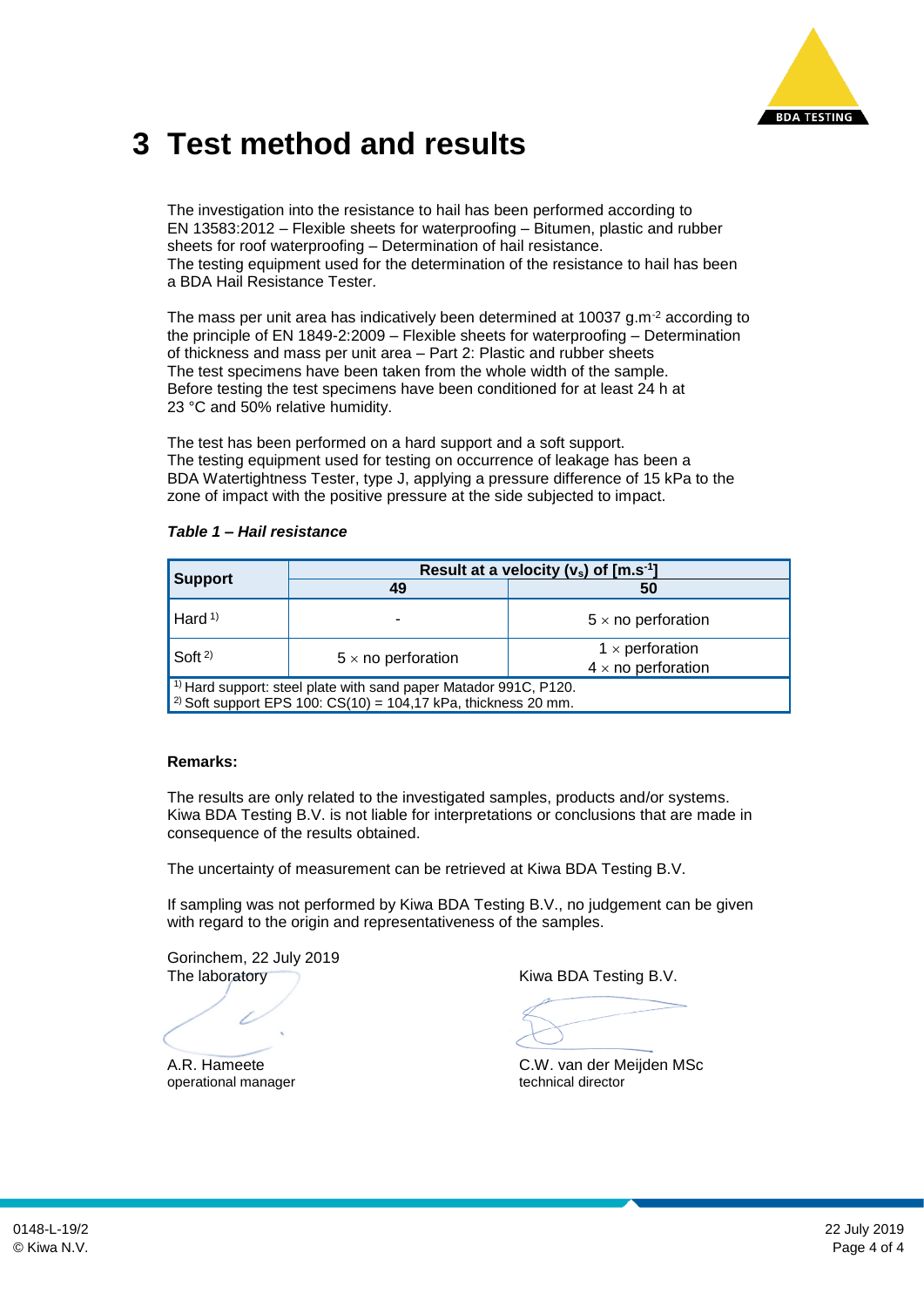

#### **3 Test method and results**

The investigation into the resistance to hail has been performed according to EN 13583:2012 – Flexible sheets for waterproofing – Bitumen, plastic and rubber sheets for roof waterproofing – Determination of hail resistance. The testing equipment used for the determination of the resistance to hail has been a BDA Hail Resistance Tester.

The mass per unit area has indicatively been determined at 10037 g.m-2 according to the principle of EN 1849-2:2009 – Flexible sheets for waterproofing – Determination of thickness and mass per unit area – Part 2: Plastic and rubber sheets The test specimens have been taken from the whole width of the sample. Before testing the test specimens have been conditioned for at least 24 h at 23 °C and 50% relative humidity.

The test has been performed on a hard support and a soft support. The testing equipment used for testing on occurrence of leakage has been a BDA Watertightness Tester, type J, applying a pressure difference of 15 kPa to the zone of impact with the positive pressure at the side subjected to impact.

|                                                                                                                                                   | Result at a velocity ( $v_s$ ) of $[m.s^{-1}]$ |                                                     |  |  |
|---------------------------------------------------------------------------------------------------------------------------------------------------|------------------------------------------------|-----------------------------------------------------|--|--|
| <b>Support</b>                                                                                                                                    | 49                                             | 50                                                  |  |  |
| Hard $(1)$                                                                                                                                        |                                                | $5 \times$ no perforation                           |  |  |
| $S$ oft <sup>2)</sup>                                                                                                                             | $5 \times$ no perforation                      | $1 \times$ perforation<br>$4 \times$ no perforation |  |  |
| $1)$ Hard support: steel plate with sand paper Matador 991C, P120.<br><sup>2)</sup> Soft support EPS 100: $CS(10) = 104,17$ kPa, thickness 20 mm. |                                                |                                                     |  |  |

#### **Remarks:**

The results are only related to the investigated samples, products and/or systems. Kiwa BDA Testing B.V. is not liable for interpretations or conclusions that are made in consequence of the results obtained.

The uncertainty of measurement can be retrieved at Kiwa BDA Testing B.V.

If sampling was not performed by Kiwa BDA Testing B.V., no judgement can be given with regard to the origin and representativeness of the samples.

Gorinchem, 22 July 2019 The laboratory The laboratory and the Kiwa BDA Testing B.V.

operational manager

A.R. Hameete C.W. van der Meijden MSc<br>
operational manager<br>
technical director